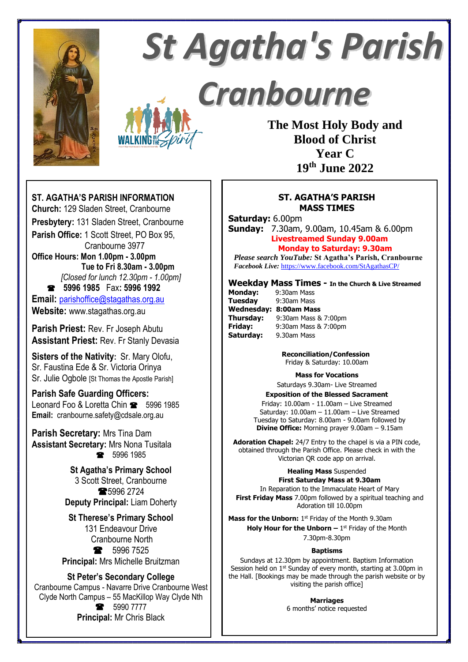

# **St Agatha's Parish**

Cranbourne

**The Most Holy Body and Blood of Christ Year C 19th June 2022**

## **ST. AGATHA'S PARISH INFORMATION**

**Church:** 129 Sladen Street, Cranbourne **Presbytery:** 131 Sladen Street, Cranbourne **Parish Office:** 1 Scott Street, PO Box 95, Cranbourne 3977 **Office Hours: Mon 1.00pm - 3.00pm Tue to Fri 8.30am - 3.00pm** *[Closed for lunch 12.30pm - 1.00pm]*  **5996 1985** Fax**: 5996 1992 Email:** [parishoffice@stagathas.org.au](mailto:parishoffice@stagathas.org.au) **Website:** www.stagathas.org.au

**Parish Priest:** Rev. Fr Joseph Abutu **Assistant Priest:** Rev. Fr Stanly Devasia

**Sisters of the Nativity:** Sr. Mary Olofu, Sr. Faustina Ede & Sr. Victoria Orinya Sr. Julie Ogbole [St Thomas the Apostle Parish]

# **Parish Safe Guarding Officers:**

Leonard Foo & Loretta Chin **8** 5996 1985 **Email:** cranbourne.safety@cdsale.org.au

**Parish Secretary:** Mrs Tina Dam **Assistant Secretary:** Mrs Nona Tusitala ● 5996 1985

> **St Agatha's Primary School** 3 Scott Street, Cranbourne **\$5996 2724 Deputy Principal:** Liam Doherty

**St Therese's Primary School** 131 Endeavour Drive Cranbourne North • 5996 7525 **Principal:** Mrs Michelle Bruitzman

#### **St Peter's Secondary College**

Cranbourne Campus - Navarre Drive Cranbourne West Clyde North Campus – 55 MacKillop Way Clyde Nth **8** 5990 7777 **Principal:** Mr Chris Black

#### **ST. AGATHA'S PARISH MASS TIMES**

**Saturday:** 6.00pm

**Sunday:** 7.30am, 9.00am, 10.45am & 6.00pm **Livestreamed Sunday 9.00am Monday to Saturday: 9.30am**

*Please search YouTube:* **St Agatha's Parish, Cranbourne**  *Facebook Live:* <https://www.facebook.com/StAgathasCP/>

#### **Weekday Mass Times - In the Church & Live Streamed**

**Monday:** 9:30am Mass **Tuesday** 9:30am Mass **Wednesday: 8:00am Mass Thursday:** 9:30am Mass & 7:00pm **Friday:** 9:30am Mass & 7:00pm **Saturday:** 9.30am Mass

> **Reconciliation/Confession** Friday & Saturday: 10.00am

#### **Mass for Vocations**

Saturdays 9.30am- Live Streamed

**Exposition of the Blessed Sacrament** Friday: 10.00am - 11.00am – Live Streamed Saturday: 10.00am – 11.00am – Live Streamed Tuesday to Saturday: 8.00am - 9.00am followed by **Divine Office:** Morning prayer 9.00am – 9.15am

**Adoration Chapel:** 24/7 Entry to the chapel is via a PIN code, obtained through the Parish Office. Please check in with the Victorian QR code app on arrival.

**Healing Mass** Suspended

#### **First Saturday Mass at 9.30am**

In Reparation to the Immaculate Heart of Mary **First Friday Mass** 7.00pm followed by a spiritual teaching and Adoration till 10.00pm

Mass for the Unborn: 1<sup>st</sup> Friday of the Month 9.30am **Holy Hour for the Unborn – 1<sup>st</sup> Friday of the Month** 7.30pm-8.30pm

# **Baptisms**

Sundays at 12.30pm by appointment. Baptism Information Session held on 1<sup>st</sup> Sunday of every month, starting at 3.00pm in the Hall. [Bookings may be made through the parish website or by visiting the parish office]

> **Marriages** 6 months' notice requested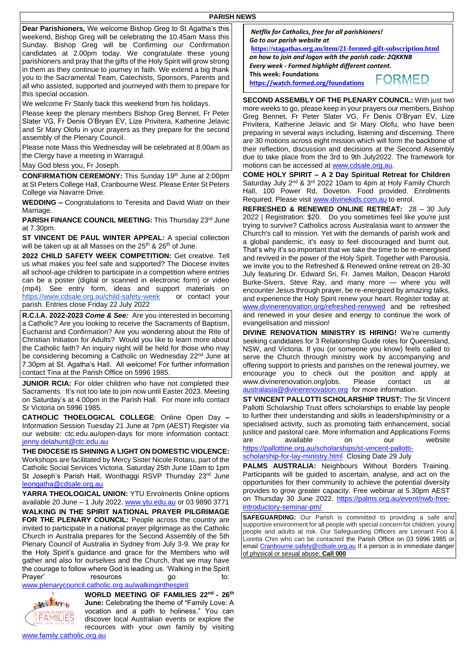**Dear Parishioners,** We welcome Bishop Greg to St Agatha's this weekend, Bishop Greg will be celebrating the 10.45am Mass this Sunday. Bishop Greg will be Confirming our Confirmation candidates at 2.00pm today. We congratulate these young parishioners and pray that the gifts of the Holy Spirit will grow strong in them as they continue to journey in faith. We extend a big thank you to the Sacramental Team, Catechists, Sponsors, Parents and all who assisted, supported and journeyed with them to prepare for this special occasion.

We welcome Fr Stanly back this weekend from his holidays.

Please keep the plenary members Bishop Greg Bennet, Fr Peter Slater VG, Fr Denis O'Bryan EV, Lize Privitera, Katherine Jelavic and Sr Mary Olofu in your prayers as they prepare for the second assembly of the Plenary Council.

Please note Mass this Wednesday will be celebrated at 8.00am as the Clergy have a meeting in Warragul.

May God bless you, Fr Joseph.

**CONFIRMATION CEREMONY:** This Sunday 19th June at 2:00pm at St Peters College Hall, Cranbourne West. Please Enter St Peters College via Navarre Drive.

**WEDDING –** Congratulations to Teresita and David Wiatr on their Marriage.

**PARISH FINANCE COUNCIL MEETING:** This Thursday 23rd June at 7.30pm.

**ST VINCENT DE PAUL WINTER APPEAL:** A special collection will be taken up at all Masses on the 25<sup>th</sup> & 26<sup>th</sup> of June.

**2022 CHILD SAFETY WEEK COMPETITION:** Get creative. Tell us what makes you feel safe and supported? The Diocese invites all school-age children to participate in a competition where entries can be a poster (digital or scanned in electronic form) or video (mp4). See entry form, ideas and support materials on <https://www.cdsale.org.au/child-safety-week> or contact your parish. Entries close Friday 22 July 2022

**R.C.I.A. 2022-2023** *Come & See:* Are you interested in becoming a Catholic? Are you looking to receive the Sacraments of Baptism, Eucharist and Confirmation? Are you wondering about the Rite of Christian Initiation for Adults? Would you like to learn more about the Catholic faith? An inquiry night will be held for those who may be considering becoming a Catholic on Wednesday 22<sup>nd</sup> June at 7.30pm at St. Agatha's Hall. All welcome! For further information contact Tina at the Parish Office on 5996 1985.

**JUNIOR RCIA:** For older children who have not completed their Sacraments. It's not too late to join now until Easter 2023. Meeting on Saturday's at 4.00pm in the Parish Hall. For more info contact Sr Victoria on 5996 1985.

**CATHOLIC THOELOGICAL COLLEGE**: Online Open Day **–** Information Session Tuesday 21 June at 7pm (AEST) Register via our website: ctc.edu.au/open-days for more information contact: [jenny.delahunt@ctc.edu.au](mailto:jenny.delahunt@ctc.edu.au)

**THE DIOCESE IS SHINING A LIGHT ON DOMESTIC VIOLENCE:**  Workshops are facilitated by Mercy Sister Nicole Rotaru, part of the Catholic Social Services Victoria. Saturday 25th June 10am to 1pm St Joseph's Parish Hall, Wonthaggi RSVP Thursday 23rd June [leongatha@cdsale.org.au](mailto:leongatha@cdsale.org.au)

**YARRA THEOLOGICAL UNION:** YTU Enrolments Online options available 20 June - 1 July 2022. [www.ytu.edu.au](http://www.ytu.edu.au/) or 03 9890 3771 **WALKING IN THE SPIRIT NATIONAL PRAYER PILGRIMAGE**  FOR THE PLENARY COUNCIL: People across the country are invited to participate in a national prayer pilgrimage as the Catholic Church in Australia prepares for the Second Assembly of the 5th Plenary Council of Australia in Sydney from July 3-9. We pray for the Holy Spirit's guidance and grace for the Members who will gather and also for ourselves and the Church, that we may have the courage to follow where God is leading us. 'Walking in the Spirit Prayer' resources

[www.plenarycouncil.catholic.org.au/walkinginthespirit](http://www.plenarycouncil.catholic.org.au/walkinginthespirit)



**WORLD MEETING OF FAMILIES 22nd - 26th June:** Celebrating the theme of "Family Love: A vocation and a path to holiness." You can discover local Australian events or explore the recources with your own family by visiting

*Netflix for Catholics, free for all parishioners! Go to our parish website at* **<https://stagathas.org.au/item/21-formed-gift-subscription.html>**

*on how to join and logon with the parish code: 2QKKNB Every week - Formed highlight different content.* **This week: Foundations FORMED** 

**https://watch.formed.org/foundations**

**SECOND ASSEMBLY OF THE PLENARY COUNCIL:** With just two more weeks to go, please keep in your prayers our members, Bishop Greg Bennet, Fr Peter Slater VG, Fr Denis O'Bryan EV, Lize Privitera, Katherine Jelavic and Sr Mary Olofu, who have been preparing in several ways including, listening and discerning. There are 30 motions across eight mission which will form the backbone of their reflection, discussion and decisions at the Second Assembly due to take place from the 3rd to 9th July2022. The framework for motions can be accessed at [www.cdsale.org.au.](http://www.cdsale.org.au/)

**COME HOLY SPIRIT – A 2 Day Spiritual Retreat for Children**  Saturday July 2<sup>nd</sup> & 3<sup>rd</sup> 2022 10am to 4pm at Holy Family Church Hall, 100 Power Rd, Doveton. Food provided. Enrolments Required. Please visi[t www.divinekids.com.au](http://www.divinekids.com.au/) to enrol.

**REFRESHED & RENEWED ONLINE RETREAT:** 28 – 30 July 2022 | Registration: \$20. Do you sometimes feel like you're just trying to survive? Catholics across Australasia want to answer the Church's call to mission. Yet with the demands of parish work and a global pandemic, it's easy to feel discouraged and burnt out. That's why it's so important that we take the time to be re-energised and revived in the power of the Holy Spirit. Together with Parousia, we invite you to the Refreshed & Renewed online retreat on 28-30 July featuring Dr. Edward Sri, Fr. James Mallon, Deacon Harold Burke-Sivers, Steve Ray, and many more — where you will encounter Jesus through prayer, be re-energized by amazing talks, and experience the Holy Spirit renew your heart. Register today at: [www.divinerenovation.org/refreshed-renewed](http://www.divinerenovation.org/refreshed-renewed) and be refreshed and renewed in your desire and energy to continue the work of evangelisation and mission!

**DIVINE RENOVATION MINISTRY IS HIRING!** We're currently seeking candidates for 3 Relationship Guide roles for Queensland, NSW, and Victoria. If you (or someone you know) feels called to serve the Church through ministry work by accompanying and offering support to priests and parishes on the renewal journey, we encourage you to check out the position and apply at www.divinerenovation.org/jobs. Please contact us [australasia@divinerenovation.org](mailto:australasia@divinerenovation.org) for more information.

**ST VINCENT PALLOTTI SCHOLARSHIP TRUST:** The St Vincent Pallotti Scholarship Trust offers scholarships to enable lay people to further their understanding and skills in leadership/ministry or a specialised activity, such as promoting faith enhancement, social justice and pastoral care. More information and Applications Forms are available on our website

[https://pallottine.org.au/scholarships/st-vincent-pallotti](https://pallottine.org.au/scholarships/st-vincent-pallotti-scholarship-for-lay-ministry.html)[scholarship-for-lay-ministry.html](https://pallottine.org.au/scholarships/st-vincent-pallotti-scholarship-for-lay-ministry.html) Closing Date 29 July

**PALMS AUSTRALIA:** Neighbours Without Borders Training. Participants will be guided to ascertain, analyse, and act on the opportunities for their community to achieve the potential diversity provides to grow greater capacity. Free webinar at 5.30pm AEST on Thursday 30 June 2022. [https://palms.org.au/event/nwb-free](https://palms.org.au/event/nwb-free-introductory-seminar-pm/)[introductory-seminar-pm/](https://palms.org.au/event/nwb-free-introductory-seminar-pm/)

**SAFEGUARDING:** Our Parish is committed to providing a safe and supportive environment for all people with special concern for children, young people and adults at risk. Our Safeguarding Officers are Leonard Foo & Loretta Chin who can be contacted the Parish Office on 03 5996 1985 or emai[l Cranbourne.safety@cdsale.org.au](mailto:Cranbourne.safety@cdsale.org.au) If a person is in immediate danger of physical or sexual abuse: **Call 000**

[www.family.catholic.org.au](http://www.family.catholic.org.au/)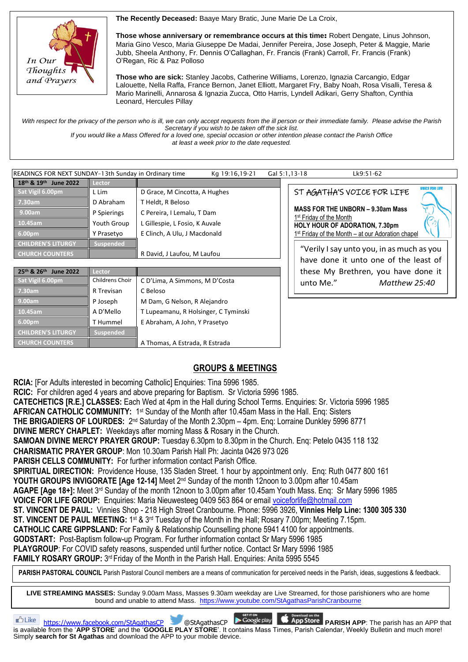**The Recently Deceased:** Baaye Mary Bratic, June Marie De La Croix,



**Those whose anniversary or remembrance occurs at this time**: Robert Dengate, Linus Johnson, Maria Gino Vesco, Maria Giuseppe De Madai, Jennifer Pereira, Jose Joseph, Peter & Maggie, Marie Jubb, Sheela Anthony, Fr. Dennis O'Callaghan, Fr. Francis (Frank) Carroll, Fr. Francis (Frank) O'Regan, Ric & Paz Polloso

**Those who are sick:** Stanley Jacobs, Catherine Williams, Lorenzo, Ignazia Carcangio, Edgar Lalouette, Nella Raffa, France Bernon, Janet Elliott, Margaret Fry, Baby Noah, Rosa Visalli, Teresa & Mario Marinelli, Annarosa & Ignazia Zucca, Otto Harris, Lyndell Adikari, Gerry Shafton, Cynthia Leonard, Hercules Pillay

With respect for the privacy of the person who is ill, we can only accept requests from the ill person or their immediate family. Please advise the Parish *Secretary if you wish to be taken off the sick list.*

*If you would like a Mass Offered for a loved one, special occasion or other intention please contact the Parish Office at least a week prior to the date requested.*

| READINGS FOR NEXT SUNDAY-13th Sunday in Ordinary time<br>Kg 19:16,19-21<br>Gal 5:1,13-18<br>Lk9:51-62 |                  |                                |  |                                                                                 |                                                   |               |                       |
|-------------------------------------------------------------------------------------------------------|------------------|--------------------------------|--|---------------------------------------------------------------------------------|---------------------------------------------------|---------------|-----------------------|
| 18th & 19th<br><b>June 2022</b>                                                                       | Lector           |                                |  |                                                                                 |                                                   |               |                       |
| Sat Vigil 6.00pm                                                                                      | L Lim            | D Grace, M Cincotta, A Hughes  |  |                                                                                 | ST AGATHA'S VOICE FOR LIFE                        |               | <b>VOICE FOR LIFE</b> |
| 7.30am                                                                                                | D Abraham        | T Heldt, R Beloso              |  |                                                                                 |                                                   |               |                       |
| 9.00am                                                                                                | P Spierings      | C Pereira, I Lemalu, T Dam     |  | <b>MASS FOR THE UNBORN - 9.30am Mass</b><br>1 <sup>st</sup> Friday of the Month |                                                   |               |                       |
| 10.45am                                                                                               | Youth Group      | L Gillespie, L Fosio, K Auvale |  |                                                                                 | <b>HOLY HOUR OF ADORATION, 7.30pm</b>             |               |                       |
| 6.00pm                                                                                                | Y Prasetyo       | E Clinch, A Ulu, J Macdonald   |  |                                                                                 | 1st Friday of the Month - at our Adoration chapel |               |                       |
| <b>CHILDREN'S LITURGY</b>                                                                             | <b>Suspended</b> |                                |  |                                                                                 |                                                   |               |                       |
| <b>CHURCH COUNTERS</b>                                                                                |                  | R David, J Laufou, M Laufou    |  |                                                                                 | "Verily I say unto you, in as much as you         |               |                       |
|                                                                                                       |                  |                                |  |                                                                                 | have done it unto one of the least of             |               |                       |
| 25th & 26th<br><b>June 2022</b>                                                                       | Lector           |                                |  |                                                                                 | these My Brethren, you have done it               |               |                       |
| Sat Vigil 6.00pm                                                                                      | Childrens Choir  | C D'Lima, A Simmons, M D'Costa |  |                                                                                 | unto Me."                                         | Matthew 25:40 |                       |

| 25 <sup>th</sup> & 26 <sup>th</sup> June 2022 | Lector                 |                                      |
|-----------------------------------------------|------------------------|--------------------------------------|
| Sat Vigil 6.00pm                              | <b>Childrens Choir</b> | C D'Lima, A Simmons, M D'Costa       |
| 7.30am                                        | R Trevisan             | C Beloso                             |
| 9.00am                                        | P Joseph               | M Dam, G Nelson, R Alejandro         |
| 10.45am                                       | A D'Mello              | T Lupeamanu, R Holsinger, C Tyminski |
| 6.00pm                                        | T Hummel               | E Abraham, A John, Y Prasetyo        |
| <b>CHILDREN'S LITURGY</b>                     | <b>Suspended</b>       |                                      |
| <b>CHURCH COUNTERS</b>                        |                        | A Thomas, A Estrada, R Estrada       |

# **GROUPS & MEETINGS**

**RCIA:** [For Adults interested in becoming Catholic] Enquiries: Tina 5996 1985.

**RCIC:** For children aged 4 years and above preparing for Baptism. Sr Victoria 5996 1985.

**CATECHETICS [R.E.] CLASSES:** Each Wed at 4pm in the Hall during School Terms. Enquiries: Sr. Victoria 5996 1985

**AFRICAN CATHOLIC COMMUNITY:** 1<sup>st</sup> Sunday of the Month after 10.45am Mass in the Hall. Enq: Sisters

THE BRIGADIERS OF LOURDES: 2<sup>nd</sup> Saturday of the Month 2.30pm - 4pm. Enq: Lorraine Dunkley 5996 8771

**DIVINE MERCY CHAPLET:** Weekdays after morning Mass & Rosary in the Church.

**SAMOAN DIVINE MERCY PRAYER GROUP:** Tuesday 6.30pm to 8.30pm in the Church. Enq: Petelo 0435 118 132

**CHARISMATIC PRAYER GROUP**: Mon 10.30am Parish Hall Ph: Jacinta 0426 973 026

**PARISH CELLS COMMUNITY: For further information contact Parish Office.** 

**SPIRITUAL DIRECTION:** Providence House, 135 Sladen Street. 1 hour by appointment only. Enq: Ruth 0477 800 161 **YOUTH GROUPS INVIGORATE [Age 12-14]** Meet 2nd Sunday of the month 12noon to 3.00pm after 10.45am

**AGAPE [Age 18+]:** Meet 3<sup>rd</sup> Sunday of the month 12noon to 3.00pm after 10.45am Youth Mass. Enq: Sr Mary 5996 1985

**VOICE FOR LIFE GROUP:** Enquiries: Maria Nieuwesteeg 0409 563 864 or email [voiceforlife@hotmail.com](mailto:voiceforlife@hotmail.com)

**ST. VINCENT DE PAUL:** Vinnies Shop - 218 High Street Cranbourne. Phone: 5996 3926, **Vinnies Help Line: 1300 305 330**

**ST. VINCENT DE PAUL MEETING:** 1<sup>st</sup> & 3<sup>rd</sup> Tuesday of the Month in the Hall; Rosary 7.00pm; Meeting 7.15pm.

**CATHOLIC CARE GIPPSLAND:** For Family & Relationship Counselling phone 5941 4100 for appointments.

**GODSTART:** Post-Baptism follow-up Program. For further information contact Sr Mary 5996 1985

**PLAYGROUP**: For COVID safety reasons, suspended until further notice. Contact Sr Mary 5996 1985

FAMILY ROSARY GROUP: 3<sup>rd</sup> Friday of the Month in the Parish Hall. Enquiries: Anita 5995 5545

PARISH PASTORAL COUNCIL Parish Pastoral Council members are a means of communication for perceived needs in the Parish, ideas, suggestions & feedback.

**LIVE STREAMING MASSES:** Sunday 9.00am Mass, Masses 9.30am weekday are Live Streamed, for those parishioners who are home bound and unable to attend Mass. <https://www.youtube.com/StAgathasParishCranbourne>

**https://www.facebook.com/StAgathasCP** @StAgathasCP **P**Coogle play **App Store PARISH APP**: The parish has an APP that is available from the '**APP STORE**' and the '**GOOGLE PLAY STORE**'. It contains Mass Times, Parish Calendar, Weekly Bulletin and much more! Simply **search for St Agathas** and download the APP to your mobile device.